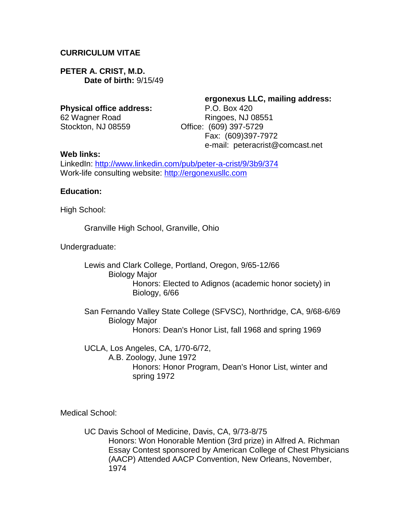### **CURRICULUM VITAE**

**PETER A. CRIST, M.D. Date of birth:** 9/15/49

#### **Physical office address:** P.O. Box 420

Stockton, NJ 08559 Office: (609) 397-5729

**ergonexus LLC, mailing address:** 62 Wagner Road Ringoes, NJ 08551 Fax: (609)397-7972 e-mail: peteracrist@comcast.net

#### **Web links:**

LinkedIn:<http://www.linkedin.com/pub/peter-a-crist/9/3b9/374> Work-life consulting website: [http://ergonexusllc.com](http://ergonexusllc.com/)

#### **Education:**

High School:

Granville High School, Granville, Ohio

Undergraduate:

Lewis and Clark College, Portland, Oregon, 9/65-12/66 Biology Major Honors: Elected to Adignos (academic honor society) in Biology, 6/66

San Fernando Valley State College (SFVSC), Northridge, CA, 9/68-6/69 Biology Major Honors: Dean's Honor List, fall 1968 and spring 1969

UCLA, Los Angeles, CA, 1/70-6/72, A.B. Zoology, June 1972 Honors: Honor Program, Dean's Honor List, winter and spring 1972

Medical School:

UC Davis School of Medicine, Davis, CA, 9/73-8/75 Honors: Won Honorable Mention (3rd prize) in Alfred A. Richman Essay Contest sponsored by American College of Chest Physicians (AACP) Attended AACP Convention, New Orleans, November, 1974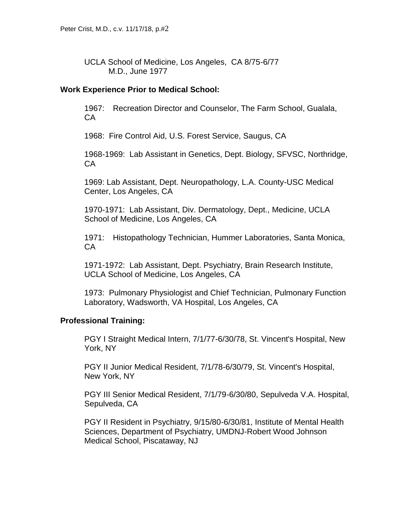UCLA School of Medicine, Los Angeles, CA 8/75-6/77 M.D., June 1977

### **Work Experience Prior to Medical School:**

1967: Recreation Director and Counselor, The Farm School, Gualala, CA

1968: Fire Control Aid, U.S. Forest Service, Saugus, CA

1968-1969: Lab Assistant in Genetics, Dept. Biology, SFVSC, Northridge, CA

1969: Lab Assistant, Dept. Neuropathology, L.A. County-USC Medical Center, Los Angeles, CA

1970-1971: Lab Assistant, Div. Dermatology, Dept., Medicine, UCLA School of Medicine, Los Angeles, CA

1971: Histopathology Technician, Hummer Laboratories, Santa Monica, CA

1971-1972: Lab Assistant, Dept. Psychiatry, Brain Research Institute, UCLA School of Medicine, Los Angeles, CA

1973: Pulmonary Physiologist and Chief Technician, Pulmonary Function Laboratory, Wadsworth, VA Hospital, Los Angeles, CA

# **Professional Training:**

PGY I Straight Medical Intern, 7/1/77-6/30/78, St. Vincent's Hospital, New York, NY

PGY II Junior Medical Resident, 7/1/78-6/30/79, St. Vincent's Hospital, New York, NY

PGY III Senior Medical Resident, 7/1/79-6/30/80, Sepulveda V.A. Hospital, Sepulveda, CA

PGY II Resident in Psychiatry, 9/15/80-6/30/81, Institute of Mental Health Sciences, Department of Psychiatry, UMDNJ-Robert Wood Johnson Medical School, Piscataway, NJ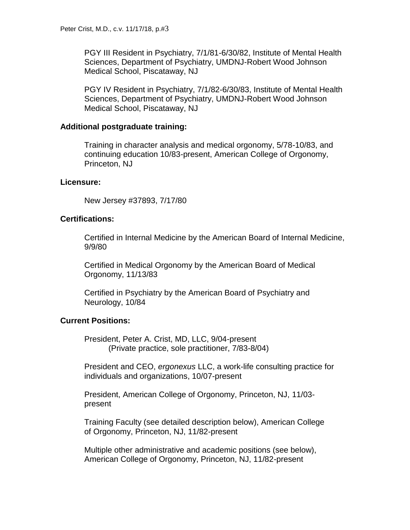PGY III Resident in Psychiatry, 7/1/81-6/30/82, Institute of Mental Health Sciences, Department of Psychiatry, UMDNJ-Robert Wood Johnson Medical School, Piscataway, NJ

PGY IV Resident in Psychiatry, 7/1/82-6/30/83, Institute of Mental Health Sciences, Department of Psychiatry, UMDNJ-Robert Wood Johnson Medical School, Piscataway, NJ

# **Additional postgraduate training:**

Training in character analysis and medical orgonomy, 5/78-10/83, and continuing education 10/83-present, American College of Orgonomy, Princeton, NJ

# **Licensure:**

New Jersey #37893, 7/17/80

# **Certifications:**

Certified in Internal Medicine by the American Board of Internal Medicine, 9/9/80

Certified in Medical Orgonomy by the American Board of Medical Orgonomy, 11/13/83

Certified in Psychiatry by the American Board of Psychiatry and Neurology, 10/84

# **Current Positions:**

President, Peter A. Crist, MD, LLC, 9/04-present (Private practice, sole practitioner, 7/83-8/04)

President and CEO, *ergonexus* LLC, a work-life consulting practice for individuals and organizations, 10/07-present

President, American College of Orgonomy, Princeton, NJ, 11/03 present

Training Faculty (see detailed description below), American College of Orgonomy, Princeton, NJ, 11/82-present

Multiple other administrative and academic positions (see below), American College of Orgonomy, Princeton, NJ, 11/82-present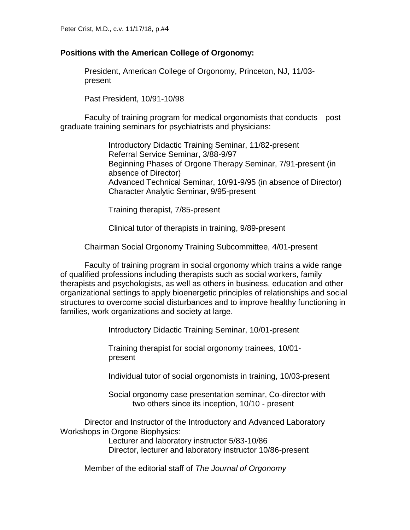### **Positions with the American College of Orgonomy:**

President, American College of Orgonomy, Princeton, NJ, 11/03 present

Past President, 10/91-10/98

Faculty of training program for medical orgonomists that conducts post graduate training seminars for psychiatrists and physicians:

> Introductory Didactic Training Seminar, 11/82-present Referral Service Seminar, 3/88-9/97 Beginning Phases of Orgone Therapy Seminar, 7/91-present (in absence of Director) Advanced Technical Seminar, 10/91-9/95 (in absence of Director) Character Analytic Seminar, 9/95-present

Training therapist, 7/85-present

Clinical tutor of therapists in training, 9/89-present

Chairman Social Orgonomy Training Subcommittee, 4/01-present

Faculty of training program in social orgonomy which trains a wide range of qualified professions including therapists such as social workers, family therapists and psychologists, as well as others in business, education and other organizational settings to apply bioenergetic principles of relationships and social structures to overcome social disturbances and to improve healthy functioning in families, work organizations and society at large.

Introductory Didactic Training Seminar, 10/01-present

Training therapist for social orgonomy trainees, 10/01 present

Individual tutor of social orgonomists in training, 10/03-present

Social orgonomy case presentation seminar, Co-director with two others since its inception, 10/10 - present

Director and Instructor of the Introductory and Advanced Laboratory Workshops in Orgone Biophysics:

> Lecturer and laboratory instructor 5/83-10/86 Director, lecturer and laboratory instructor 10/86-present

Member of the editorial staff of *The Journal of Orgonomy*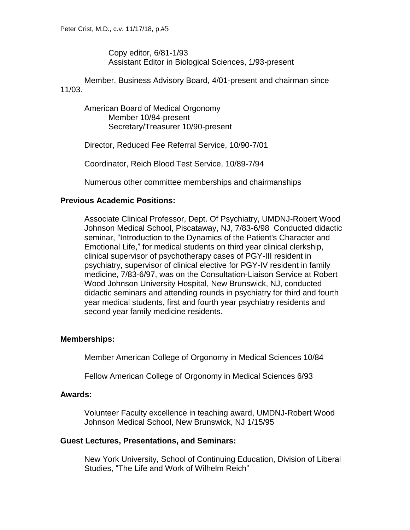Copy editor, 6/81-1/93 Assistant Editor in Biological Sciences, 1/93-present

Member, Business Advisory Board, 4/01-present and chairman since 11/03.

American Board of Medical Orgonomy Member 10/84-present Secretary/Treasurer 10/90-present

Director, Reduced Fee Referral Service, 10/90-7/01

Coordinator, Reich Blood Test Service, 10/89-7/94

Numerous other committee memberships and chairmanships

# **Previous Academic Positions:**

Associate Clinical Professor, Dept. Of Psychiatry, UMDNJ-Robert Wood Johnson Medical School, Piscataway, NJ, 7/83-6/98 Conducted didactic seminar, "Introduction to the Dynamics of the Patient's Character and Emotional Life," for medical students on third year clinical clerkship, clinical supervisor of psychotherapy cases of PGY-III resident in psychiatry, supervisor of clinical elective for PGY-IV resident in family medicine, 7/83-6/97, was on the Consultation-Liaison Service at Robert Wood Johnson University Hospital, New Brunswick, NJ, conducted didactic seminars and attending rounds in psychiatry for third and fourth year medical students, first and fourth year psychiatry residents and second year family medicine residents.

# **Memberships:**

Member American College of Orgonomy in Medical Sciences 10/84

Fellow American College of Orgonomy in Medical Sciences 6/93

# **Awards:**

Volunteer Faculty excellence in teaching award, UMDNJ-Robert Wood Johnson Medical School, New Brunswick, NJ 1/15/95

# **Guest Lectures, Presentations, and Seminars:**

New York University, School of Continuing Education, Division of Liberal Studies, "The Life and Work of Wilhelm Reich"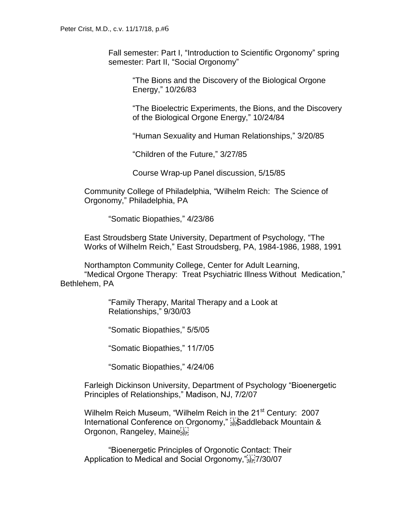Fall semester: Part I, "Introduction to Scientific Orgonomy" spring semester: Part II, "Social Orgonomy"

> "The Bions and the Discovery of the Biological Orgone Energy," 10/26/83

"The Bioelectric Experiments, the Bions, and the Discovery of the Biological Orgone Energy," 10/24/84

"Human Sexuality and Human Relationships," 3/20/85

"Children of the Future," 3/27/85

Course Wrap-up Panel discussion, 5/15/85

Community College of Philadelphia, "Wilhelm Reich: The Science of Orgonomy," Philadelphia, PA

"Somatic Biopathies," 4/23/86

East Stroudsberg State University, Department of Psychology, "The Works of Wilhelm Reich," East Stroudsberg, PA, 1984-1986, 1988, 1991

Northampton Community College, Center for Adult Learning, "Medical Orgone Therapy: Treat Psychiatric Illness Without Medication," Bethlehem, PA

> "Family Therapy, Marital Therapy and a Look at Relationships," 9/30/03

"Somatic Biopathies," 5/5/05

"Somatic Biopathies," 11/7/05

"Somatic Biopathies," 4/24/06

Farleigh Dickinson University, Department of Psychology "Bioenergetic Principles of Relationships," Madison, NJ, 7/2/07

Wilhelm Reich Museum, "Wilhelm Reich in the 21<sup>st</sup> Century: 2007 International Conference on Orgonomy," Saddleback Mountain & Orgonon, Rangeley, Maine

"Bioenergetic Principles of Orgonotic Contact: Their Application to Medical and Social Orgonomy,"SEP!7/30/07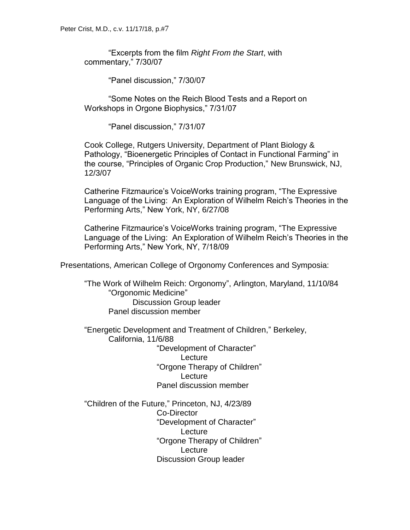"Excerpts from the film *Right From the Start*, with commentary," 7/30/07

"Panel discussion," 7/30/07

"Some Notes on the Reich Blood Tests and a Report on Workshops in Orgone Biophysics," 7/31/07

"Panel discussion," 7/31/07

Cook College, Rutgers University, Department of Plant Biology & Pathology, "Bioenergetic Principles of Contact in Functional Farming" in the course, "Principles of Organic Crop Production," New Brunswick, NJ, 12/3/07

Catherine Fitzmaurice's VoiceWorks training program, "The Expressive Language of the Living: An Exploration of Wilhelm Reich's Theories in the Performing Arts," New York, NY, 6/27/08

Catherine Fitzmaurice's VoiceWorks training program, "The Expressive Language of the Living: An Exploration of Wilhelm Reich's Theories in the Performing Arts," New York, NY, 7/18/09

Presentations, American College of Orgonomy Conferences and Symposia:

"The Work of Wilhelm Reich: Orgonomy", Arlington, Maryland, 11/10/84 "Orgonomic Medicine" Discussion Group leader Panel discussion member

"Energetic Development and Treatment of Children," Berkeley, California, 11/6/88 "Development of Character" **Lecture** "Orgone Therapy of Children" **Lecture** 

Panel discussion member "Children of the Future," Princeton, NJ, 4/23/89 Co-Director

"Development of Character" Lecture "Orgone Therapy of Children" **Lecture** Discussion Group leader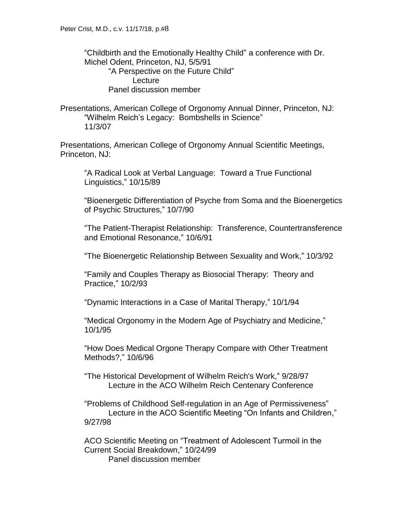"Childbirth and the Emotionally Healthy Child" a conference with Dr. Michel Odent, Princeton, NJ, 5/5/91 "A Perspective on the Future Child" **Lecture** Panel discussion member

Presentations, American College of Orgonomy Annual Dinner, Princeton, NJ: "Wilhelm Reich's Legacy: Bombshells in Science" 11/3/07

Presentations, American College of Orgonomy Annual Scientific Meetings, Princeton, NJ:

"A Radical Look at Verbal Language: Toward a True Functional Linguistics," 10/15/89

"Bioenergetic Differentiation of Psyche from Soma and the Bioenergetics of Psychic Structures," 10/7/90

"The Patient-Therapist Relationship: Transference, Countertransference and Emotional Resonance," 10/6/91

"The Bioenergetic Relationship Between Sexuality and Work," 10/3/92

"Family and Couples Therapy as Biosocial Therapy: Theory and Practice," 10/2/93

"Dynamic Interactions in a Case of Marital Therapy," 10/1/94

"Medical Orgonomy in the Modern Age of Psychiatry and Medicine," 10/1/95

"How Does Medical Orgone Therapy Compare with Other Treatment Methods?," 10/6/96

"The Historical Development of Wilhelm Reich's Work," 9/28/97 Lecture in the ACO Wilhelm Reich Centenary Conference

"Problems of Childhood Self-regulation in an Age of Permissiveness" Lecture in the ACO Scientific Meeting "On Infants and Children," 9/27/98

ACO Scientific Meeting on "Treatment of Adolescent Turmoil in the Current Social Breakdown," 10/24/99 Panel discussion member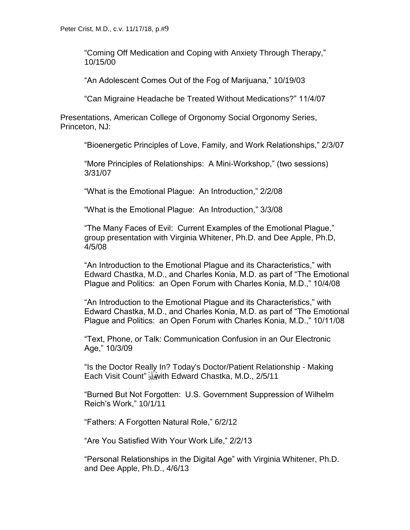"Coming Off Medication and Coping with Anxiety Through Therapy," 10/15/00

"An Adolescent Comes Out of the Fog of Marijuana," 10/19/03

"Can Migraine Headache be Treated Without Medications?" 11/4/07

Presentations, American College of Orgonomy Social Orgonomy Series, Princeton, NJ:

"Bioenergetic Principles of Love, Family, and Work Relationships," 2/3/07

"More Principles of Relationships: A Mini-Workshop," (two sessions) 3/31/07

"What is the Emotional Plague: An Introduction," 2/2/08

"What is the Emotional Plague: An Introduction," 3/3/08

"The Many Faces of Evil: Current Examples of the Emotional Plague," group presentation with Virginia Whitener, Ph.D. and Dee Apple, Ph.D, 4/5/08

"An Introduction to the Emotional Plague and its Characteristics," with Edward Chastka, M.D., and Charles Konia, M.D. as part of "The Emotional Plague and Politics: an Open Forum with Charles Konia, M.D.," 10/4/08

"An Introduction to the Emotional Plague and its Characteristics," with Edward Chastka, M.D., and Charles Konia, M.D. as part of "The Emotional Plague and Politics: an Open Forum with Charles Konia, M.D.," 10/11/08

"Text, Phone, or Talk: Communication Confusion in an Our Electronic Age," 10/3/09

"Is the Doctor Really In? Today's Doctor/Patient Relationship - Making Each Visit Count" sewith Edward Chastka, M.D., 2/5/11

"Burned But Not Forgotten: U.S. Government Suppression of Wilhelm Reich's Work," 10/1/11

"Fathers: A Forgotten Natural Role," 6/2/12

"Are You Satisfied With Your Work Life," 2/2/13

"Personal Relationships in the Digital Age" with Virginia Whitener, Ph.D. and Dee Apple, Ph.D., 4/6/13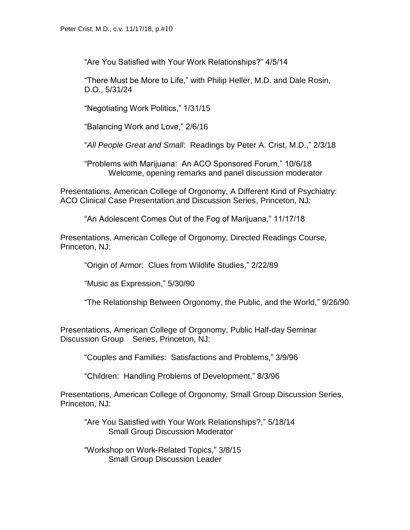"Are You Satisfied with Your Work Relationships?" 4/5/14

"There Must be More to Life," with Philip Heller, M.D. and Dale Rosin, D.O., 5/31/24

"Negotiating Work Politics," 1/31/15

"Balancing Work and Love," 2/6/16

"*All People Great and Small*: Readings by Peter A. Crist, M.D.," 2/3/18

"Problems with Marijuana: An ACO Sponsored Forum," 10/6/18 Welcome, opening remarks and panel discussion moderator

Presentations, American College of Orgonomy, A Different Kind of Psychiatry: ACO Clinical Case Presentation and Discussion Series, Princeton, NJ:

"An Adolescent Comes Out of the Fog of Marijuana," 11/17/18

Presentations, American College of Orgonomy, Directed Readings Course, Princeton, NJ:

"Origin of Armor: Clues from Wildlife Studies," 2/22/89

"Music as Expression," 5/30/90

"The Relationship Between Orgonomy, the Public, and the World," 9/26/90

Presentations, American College of Orgonomy, Public Half-day Seminar Discussion Group Series, Princeton, NJ:

"Couples and Families: Satisfactions and Problems," 3/9/96

"Children: Handling Problems of Development," 8/3/96

Presentations, American College of Orgonomy, Small Group Discussion Series, Princeton, NJ:

"Are You Satisfied with Your Work Relationships?," 5/18/14 Small Group Discussion Moderator

"Workshop on Work-Related Topics," 3/8/15 Small Group Discussion Leader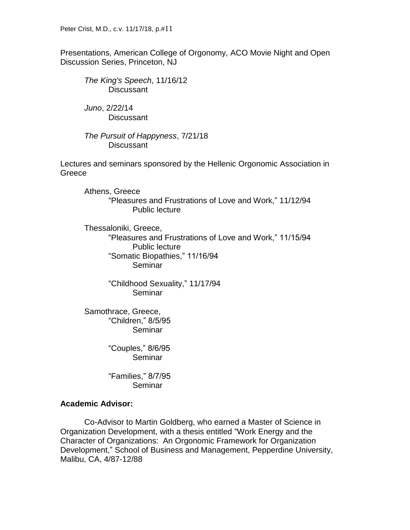Presentations, American College of Orgonomy, ACO Movie Night and Open Discussion Series, Princeton, NJ

*The King's Speech*, 11/16/12 **Discussant** 

*Juno*, 2/22/14 **Discussant** 

*The Pursuit of Happyness*, 7/21/18 **Discussant** 

Lectures and seminars sponsored by the Hellenic Orgonomic Association in **Greece** 

Athens, Greece "Pleasures and Frustrations of Love and Work," 11/12/94 Public lecture

Thessaloniki, Greece, "Pleasures and Frustrations of Love and Work," 11/15/94 Public lecture "Somatic Biopathies," 11/16/94 Seminar

> "Childhood Sexuality," 11/17/94 Seminar

Samothrace, Greece, "Children," 8/5/95 Seminar

> "Couples," 8/6/95 **Seminar**

> "Families," 8/7/95 Seminar

# **Academic Advisor:**

Co-Advisor to Martin Goldberg, who earned a Master of Science in Organization Development, with a thesis entitled "Work Energy and the Character of Organizations: An Orgonomic Framework for Organization Development," School of Business and Management, Pepperdine University, Malibu, CA, 4/87-12/88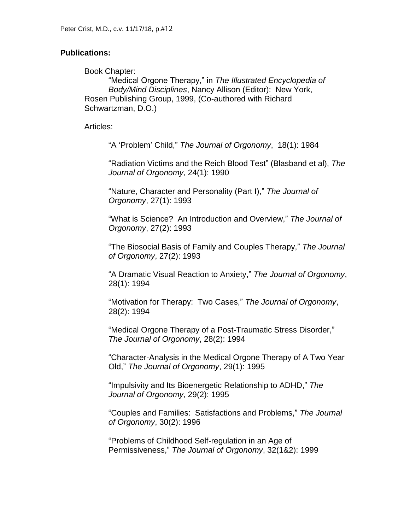#### **Publications:**

Book Chapter:

"Medical Orgone Therapy," in *The Illustrated Encyclopedia of Body/Mind Disciplines*, Nancy Allison (Editor): New York, Rosen Publishing Group, 1999, (Co-authored with Richard Schwartzman, D.O.)

Articles:

"A 'Problem' Child," *The Journal of Orgonomy*, 18(1): 1984

"Radiation Victims and the Reich Blood Test" (Blasband et al), *The Journal of Orgonomy*, 24(1): 1990

"Nature, Character and Personality (Part I)," *The Journal of Orgonomy*, 27(1): 1993

"What is Science? An Introduction and Overview," *The Journal of Orgonomy*, 27(2): 1993

"The Biosocial Basis of Family and Couples Therapy," *The Journal of Orgonomy*, 27(2): 1993

"A Dramatic Visual Reaction to Anxiety," *The Journal of Orgonomy*, 28(1): 1994

"Motivation for Therapy: Two Cases," *The Journal of Orgonomy*, 28(2): 1994

"Medical Orgone Therapy of a Post-Traumatic Stress Disorder," *The Journal of Orgonomy*, 28(2): 1994

"Character-Analysis in the Medical Orgone Therapy of A Two Year Old," *The Journal of Orgonomy*, 29(1): 1995

"Impulsivity and Its Bioenergetic Relationship to ADHD," *The Journal of Orgonomy*, 29(2): 1995

"Couples and Families: Satisfactions and Problems," *The Journal of Orgonomy*, 30(2): 1996

"Problems of Childhood Self-regulation in an Age of Permissiveness," *The Journal of Orgonomy*, 32(1&2): 1999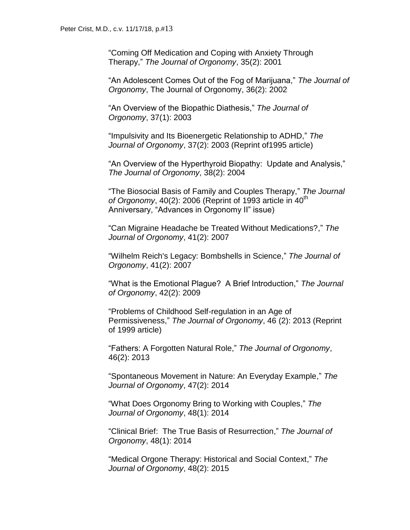"Coming Off Medication and Coping with Anxiety Through Therapy," *The Journal of Orgonomy*, 35(2): 2001

"An Adolescent Comes Out of the Fog of Marijuana," *The Journal of Orgonomy*, The Journal of Orgonomy, 36(2): 2002

"An Overview of the Biopathic Diathesis," *The Journal of Orgonomy*, 37(1): 2003

"Impulsivity and Its Bioenergetic Relationship to ADHD," *The Journal of Orgonomy*, 37(2): 2003 (Reprint of1995 article)

"An Overview of the Hyperthyroid Biopathy: Update and Analysis," *The Journal of Orgonomy*, 38(2): 2004

"The Biosocial Basis of Family and Couples Therapy," *The Journal of Orgonomy*,  $40(2)$ : 2006 (Reprint of 1993 article in  $40^{\text{th}}$ ) Anniversary, "Advances in Orgonomy II" issue)

"Can Migraine Headache be Treated Without Medications?," *The Journal of Orgonomy*, 41(2): 2007

"Wilhelm Reich's Legacy: Bombshells in Science," *The Journal of Orgonomy*, 41(2): 2007

"What is the Emotional Plague? A Brief Introduction," *The Journal of Orgonomy*, 42(2): 2009

"Problems of Childhood Self-regulation in an Age of Permissiveness," *The Journal of Orgonomy*, 46 (2): 2013 (Reprint of 1999 article)

"Fathers: A Forgotten Natural Role," *The Journal of Orgonomy*, 46(2): 2013

"Spontaneous Movement in Nature: An Everyday Example," *The Journal of Orgonomy*, 47(2): 2014

"What Does Orgonomy Bring to Working with Couples," *The Journal of Orgonomy*, 48(1): 2014

"Clinical Brief: The True Basis of Resurrection," *The Journal of Orgonomy*, 48(1): 2014

"Medical Orgone Therapy: Historical and Social Context," *The Journal of Orgonomy*, 48(2): 2015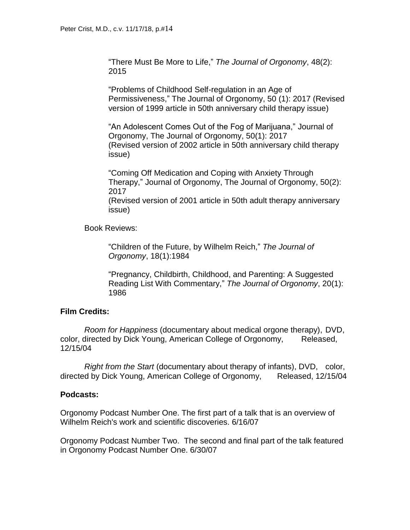"There Must Be More to Life," *The Journal of Orgonomy*, 48(2): 2015

"Problems of Childhood Self-regulation in an Age of Permissiveness," The Journal of Orgonomy, 50 (1): 2017 (Revised version of 1999 article in 50th anniversary child therapy issue)

"An Adolescent Comes Out of the Fog of Marijuana," Journal of Orgonomy, The Journal of Orgonomy, 50(1): 2017 (Revised version of 2002 article in 50th anniversary child therapy issue)

"Coming Off Medication and Coping with Anxiety Through Therapy," Journal of Orgonomy, The Journal of Orgonomy, 50(2): 2017

(Revised version of 2001 article in 50th adult therapy anniversary issue)

Book Reviews:

"Children of the Future, by Wilhelm Reich," *The Journal of Orgonomy*, 18(1):1984

"Pregnancy, Childbirth, Childhood, and Parenting: A Suggested Reading List With Commentary," *The Journal of Orgonomy*, 20(1): 1986

# **Film Credits:**

*Room for Happiness* (documentary about medical orgone therapy), DVD, color, directed by Dick Young, American College of Orgonomy, Released, 12/15/04

*Right from the Start* (documentary about therapy of infants), DVD, color, directed by Dick Young, American College of Orgonomy, Released, 12/15/04

# **Podcasts:**

Orgonomy Podcast Number One. The first part of a talk that is an overview of Wilhelm Reich's work and scientific discoveries. 6/16/07

Orgonomy Podcast Number Two. The second and final part of the talk featured in Orgonomy Podcast Number One. 6/30/07